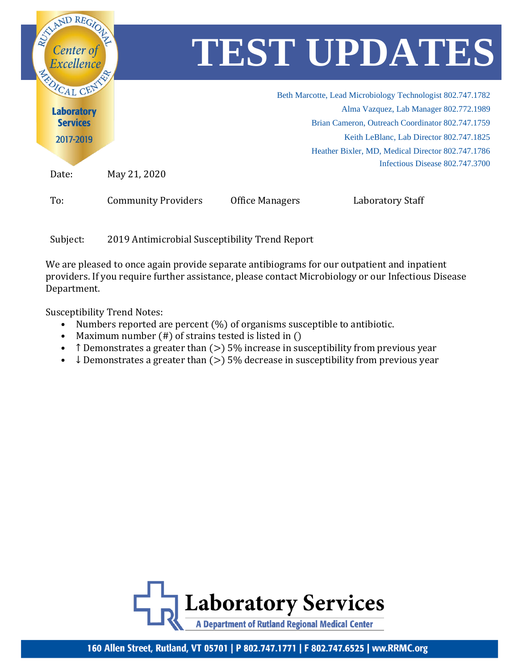

Subject: 2019 Antimicrobial Susceptibility Trend Report

We are pleased to once again provide separate antibiograms for our outpatient and inpatient providers. If you require further assistance, please contact Microbiology or our Infectious Disease Department.

Susceptibility Trend Notes:

- Numbers reported are percent (%) of organisms susceptible to antibiotic.
- Maximum number (#) of strains tested is listed in ()
- T Demonstrates a greater than  $(>)$  5% increase in susceptibility from previous year
- $\downarrow$  Demonstrates a greater than ( $>$ ) 5% decrease in susceptibility from previous year